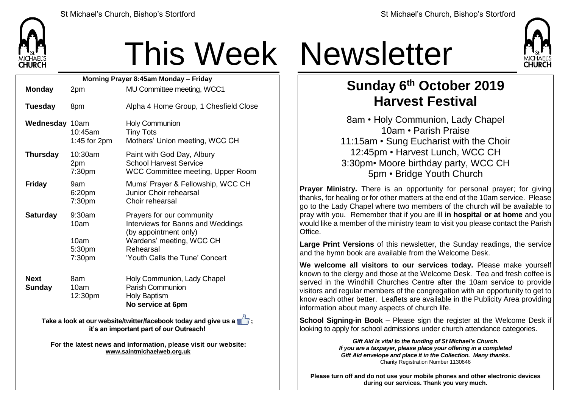

## This Week Newsletter

| Morning Prayer 8:45am Monday - Friday                                                                      |                                            |                                                                                                                                                                    |  |  |
|------------------------------------------------------------------------------------------------------------|--------------------------------------------|--------------------------------------------------------------------------------------------------------------------------------------------------------------------|--|--|
| <b>Monday</b>                                                                                              | 2pm                                        | MU Committee meeting, WCC1                                                                                                                                         |  |  |
| <b>Tuesday</b>                                                                                             | 8pm                                        | Alpha 4 Home Group, 1 Chesfield Close                                                                                                                              |  |  |
| Wednesday 10am                                                                                             | 10:45am<br>1:45 for 2pm                    | <b>Holy Communion</b><br><b>Tiny Tots</b><br>Mothers' Union meeting, WCC CH                                                                                        |  |  |
| <b>Thursday</b>                                                                                            | 10:30am<br>2pm<br>7:30 <sub>pm</sub>       | Paint with God Day, Albury<br><b>School Harvest Service</b><br>WCC Committee meeting, Upper Room                                                                   |  |  |
| <b>Friday</b>                                                                                              | 9am<br>6:20pm<br>7:30 <sub>pm</sub>        | Mums' Prayer & Fellowship, WCC CH<br>Junior Choir rehearsal<br>Choir rehearsal                                                                                     |  |  |
| <b>Saturday</b>                                                                                            | 9:30am<br>10am<br>10am<br>5:30pm<br>7:30pm | Prayers for our community<br>Interviews for Banns and Weddings<br>(by appointment only)<br>Wardens' meeting, WCC CH<br>Rehearsal<br>'Youth Calls the Tune' Concert |  |  |
| <b>Next</b><br><b>Sunday</b>                                                                               | 8am<br>10am<br>12:30pm                     | Holy Communion, Lady Chapel<br><b>Parish Communion</b><br><b>Holy Baptism</b><br>No service at 6pm                                                                 |  |  |
| Take a look at our website/twitter/facebook today and give us a<br>it's an important part of our Outreach! |                                            |                                                                                                                                                                    |  |  |

**For the latest news and information, please visit our website: [www.saintmichaelweb.org.uk](http://www.saintmichaelweb.org.uk/)**



## **Sunday 6 th October 2019 Harvest Festival**

8am • Holy Communion, Lady Chapel 10am • Parish Praise 11:15am • Sung Eucharist with the Choir 12:45pm • Harvest Lunch, WCC CH 3:30pm• Moore birthday party, WCC CH 5pm • Bridge Youth Church

**Prayer Ministry.** There is an opportunity for personal prayer; for giving thanks, for healing or for other matters at the end of the 10am service. Please go to the Lady Chapel where two members of the church will be available to pray with you. Remember that if you are ill **in hospital or at home** and you would like a member of the ministry team to visit you please contact the Parish **Office** 

**Large Print Versions** of this newsletter, the Sunday readings, the service and the hymn book are available from the Welcome Desk.

**We welcome all visitors to our services today.** Please make yourself known to the clergy and those at the Welcome Desk. Tea and fresh coffee is served in the Windhill Churches Centre after the 10am service to provide visitors and regular members of the congregation with an opportunity to get to know each other better. Leaflets are available in the Publicity Area providing information about many aspects of church life.

**School Signing-in Book –** Please sign the register at the Welcome Desk if looking to apply for school admissions under church attendance categories.

> *Gift Aid is vital to the funding of St Michael's Church. If you are a taxpayer, please place your offering in a completed Gift Aid envelope and place it in the Collection. Many thanks.* Charity Registration Number 1130646

**Please turn off and do not use your mobile phones and other electronic devices during our services. Thank you very much.**